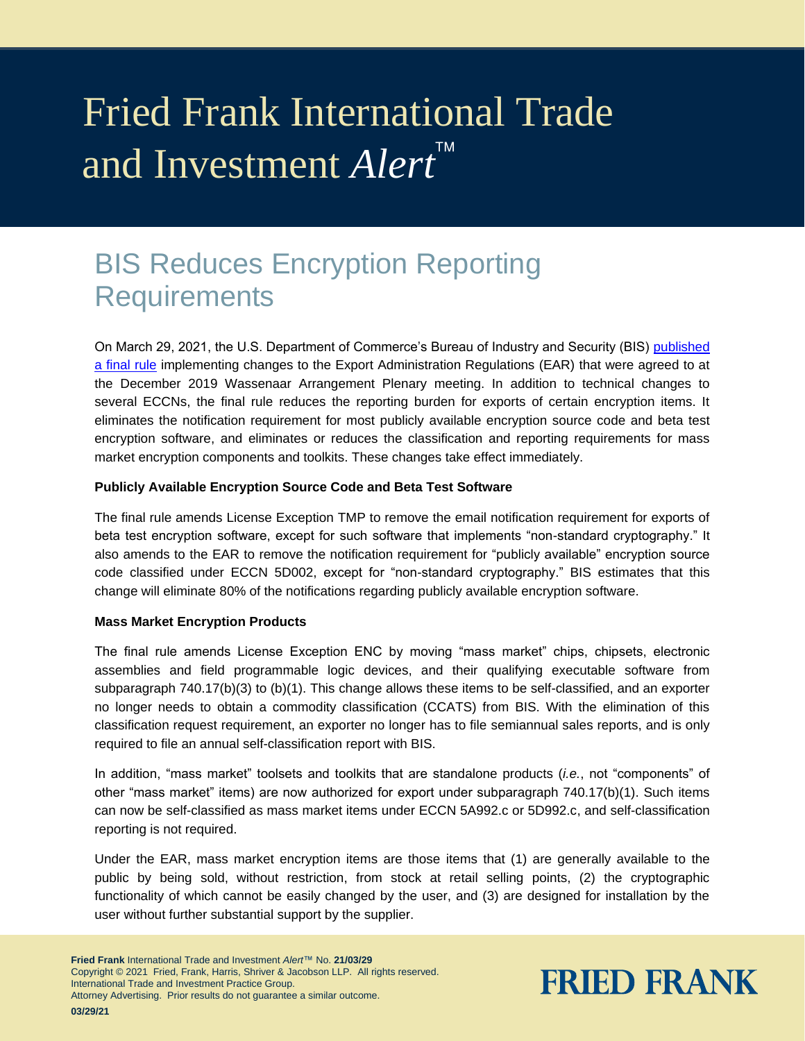# Fried Frank International Trade and Investment *Alert*

## BIS Reduces Encryption Reporting **Requirements**

On March 29, 2021, the U.S. Department of Commerce's Bureau of Industry and Security (BIS) [published](https://www.govinfo.gov/content/pkg/FR-2021-03-29/pdf/2021-05481.pdf)  [a final rule](https://www.govinfo.gov/content/pkg/FR-2021-03-29/pdf/2021-05481.pdf) implementing changes to the Export Administration Regulations (EAR) that were agreed to at the December 2019 Wassenaar Arrangement Plenary meeting. In addition to technical changes to several ECCNs, the final rule reduces the reporting burden for exports of certain encryption items. It eliminates the notification requirement for most publicly available encryption source code and beta test encryption software, and eliminates or reduces the classification and reporting requirements for mass market encryption components and toolkits. These changes take effect immediately.

#### **Publicly Available Encryption Source Code and Beta Test Software**

The final rule amends License Exception TMP to remove the email notification requirement for exports of beta test encryption software, except for such software that implements "non-standard cryptography." It also amends to the EAR to remove the notification requirement for "publicly available" encryption source code classified under ECCN 5D002, except for "non-standard cryptography." BIS estimates that this change will eliminate 80% of the notifications regarding publicly available encryption software.

#### **Mass Market Encryption Products**

The final rule amends License Exception ENC by moving "mass market" chips, chipsets, electronic assemblies and field programmable logic devices, and their qualifying executable software from subparagraph 740.17(b)(3) to (b)(1). This change allows these items to be self-classified, and an exporter no longer needs to obtain a commodity classification (CCATS) from BIS. With the elimination of this classification request requirement, an exporter no longer has to file semiannual sales reports, and is only required to file an annual self-classification report with BIS.

In addition, "mass market" toolsets and toolkits that are standalone products (*i.e.*, not "components" of other "mass market" items) are now authorized for export under subparagraph 740.17(b)(1). Such items can now be self-classified as mass market items under ECCN 5A992.c or 5D992.c, and self-classification reporting is not required.

Under the EAR, mass market encryption items are those items that (1) are generally available to the public by being sold, without restriction, from stock at retail selling points, (2) the cryptographic functionality of which cannot be easily changed by the user, and (3) are designed for installation by the user without further substantial support by the supplier.